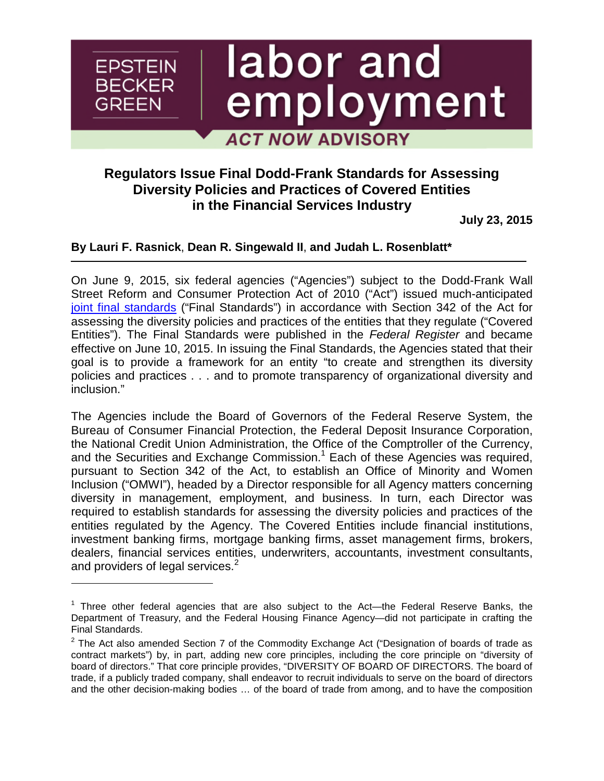# labor and **EPSTEIN BECKER** employment GREEN **ACT NOW ADVISORY**

## **Regulators Issue Final Dodd-Frank Standards for Assessing Diversity Policies and Practices of Covered Entities in the Financial Services Industry**

**July 23, 2015**

### **By [Lauri F. Rasnick](http://www.ebglaw.com/lauri-f-rasnick/)**, **[Dean R. Singewald II](http://www.ebglaw.com/dean-r-singewald-ii/)**, **and Judah L. Rosenblatt\***

On June 9, 2015, six federal agencies ("Agencies") subject to the Dodd-Frank Wall Street Reform and Consumer Protection Act of 2010 ("Act") issued much-anticipated [joint final standards](https://www.federalregister.gov/articles/2015/06/10/2015-14126/final-interagency-policy-statement-establishing-joint-standards-for-assessing-the-diversity-policies) ("Final Standards") in accordance with Section 342 of the Act for assessing the diversity policies and practices of the entities that they regulate ("Covered Entities"). The Final Standards were published in the *Federal Register* and became effective on June 10, 2015. In issuing the Final Standards, the Agencies stated that their goal is to provide a framework for an entity "to create and strengthen its diversity policies and practices . . . and to promote transparency of organizational diversity and inclusion."

The Agencies include the Board of Governors of the Federal Reserve System, the Bureau of Consumer Financial Protection, the Federal Deposit Insurance Corporation, the National Credit Union Administration, the Office of the Comptroller of the Currency, and the Securities and Exchange Commission.<sup>[1](#page-0-0)</sup> Each of these Agencies was required, pursuant to Section 342 of the Act, to establish an Office of Minority and Women Inclusion ("OMWI"), headed by a Director responsible for all Agency matters concerning diversity in management, employment, and business. In turn, each Director was required to establish standards for assessing the diversity policies and practices of the entities regulated by the Agency. The Covered Entities include financial institutions, investment banking firms, mortgage banking firms, asset management firms, brokers, dealers, financial services entities, underwriters, accountants, investment consultants, and providers of legal services.<sup>2</sup>

<span id="page-0-0"></span> $1$  Three other federal agencies that are also subject to the Act—the Federal Reserve Banks, the Department of Treasury, and the Federal Housing Finance Agency—did not participate in crafting the Final Standards.

 $2$  The Act also amended Section 7 of the Commodity Exchange Act ("Designation of boards of trade as contract markets") by, in part, adding new core principles, including the core principle on "diversity of board of directors." That core principle provides, "DIVERSITY OF BOARD OF DIRECTORS. The board of trade, if a publicly traded company, shall endeavor to recruit individuals to serve on the board of directors and the other decision-making bodies … of the board of trade from among, and to have the composition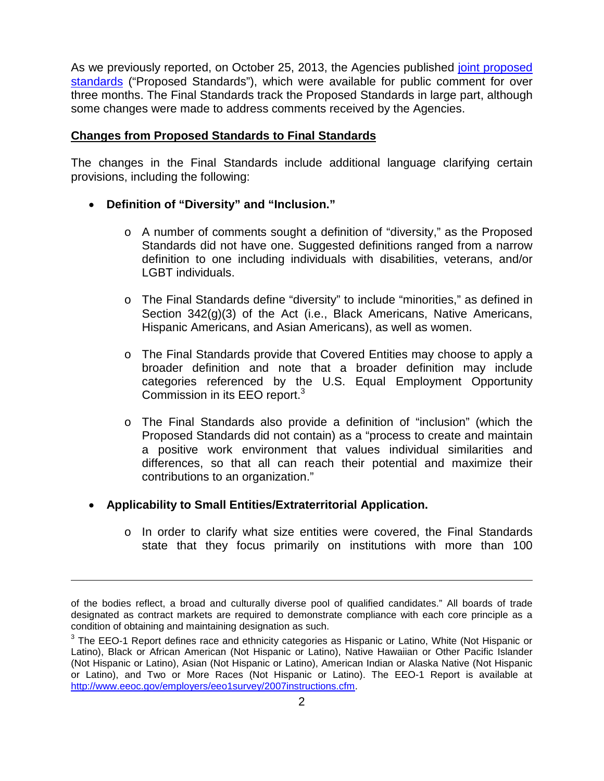As we previously reported, on October 25, 2013, the Agencies published *[joint proposed](https://www.federalregister.gov/articles/2013/10/25/2013-25142/proposed-interagency-policy-statement-establishing-joint-standards-for-assessing-the-diversity)* standards [\("Proposed Standards"\), which were available for public comment for over](https://www.federalregister.gov/articles/2013/10/25/2013-25142/proposed-interagency-policy-statement-establishing-joint-standards-for-assessing-the-diversity) three months. The Final Standards track the Proposed Standards in large part, although some changes were made to address comments received by the Agencies.

#### **Changes from Proposed Standards to Final Standards**

The changes in the Final Standards include additional language clarifying certain provisions, including the following:

- **Definition of "Diversity" and "Inclusion."**
	- o A number of comments sought a definition of "diversity," as the Proposed Standards did not have one. Suggested definitions ranged from a narrow definition to one including individuals with disabilities, veterans, and/or LGBT individuals.
	- o The Final Standards define "diversity" to include "minorities," as defined in Section 342(g)(3) of the Act (i.e., Black Americans, Native Americans, Hispanic Americans, and Asian Americans), as well as women.
	- o The Final Standards provide that Covered Entities may choose to apply a broader definition and note that a broader definition may include categories referenced by the U.S. Equal Employment Opportunity Commission in its EEO report.<sup>3</sup>
	- o The Final Standards also provide a definition of "inclusion" (which the Proposed Standards did not contain) as a "process to create and maintain a positive work environment that values individual similarities and differences, so that all can reach their potential and maximize their contributions to an organization."
- **Applicability to Small Entities/Extraterritorial Application.**
	- o In order to clarify what size entities were covered, the Final Standards state that they focus primarily on institutions with more than 100

of the bodies reflect, a broad and culturally diverse pool of qualified candidates." All boards of trade designated as contract markets are required to demonstrate compliance with each core principle as a condition of obtaining and maintaining designation as such.

 $^3$  The EEO-1 Report defines race and ethnicity categories as Hispanic or Latino, White (Not Hispanic or Latino), Black or African American (Not Hispanic or Latino), Native Hawaiian or Other Pacific Islander (Not Hispanic or Latino), Asian (Not Hispanic or Latino), American Indian or Alaska Native (Not Hispanic or Latino), and Two or More Races (Not Hispanic or Latino). The EEO-1 Report is available at http://www.eeoc.gov/employers/eeo1survey/2007instructions.cfm.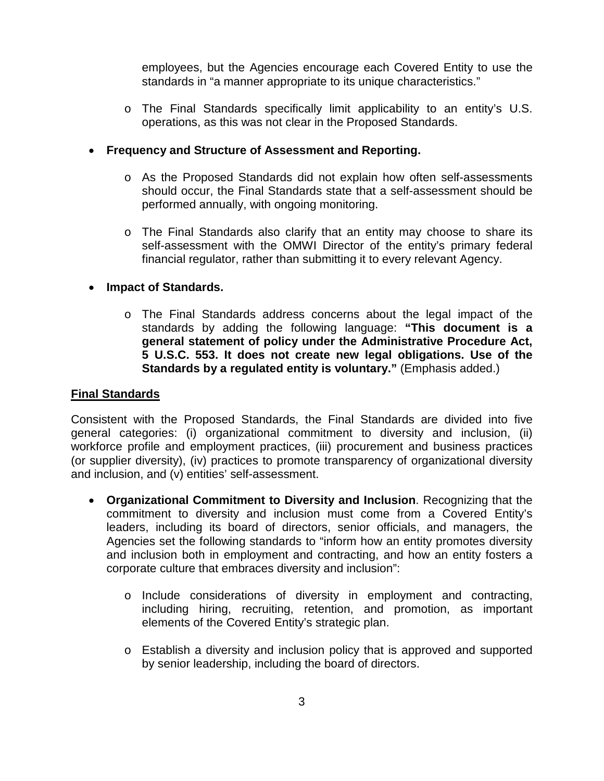employees, but the Agencies encourage each Covered Entity to use the standards in "a manner appropriate to its unique characteristics."

o The Final Standards specifically limit applicability to an entity's U.S. operations, as this was not clear in the Proposed Standards.

#### • **Frequency and Structure of Assessment and Reporting.**

- o As the Proposed Standards did not explain how often self-assessments should occur, the Final Standards state that a self-assessment should be performed annually, with ongoing monitoring.
- o The Final Standards also clarify that an entity may choose to share its self-assessment with the OMWI Director of the entity's primary federal financial regulator, rather than submitting it to every relevant Agency.

### • **Impact of Standards.**

o The Final Standards address concerns about the legal impact of the standards by adding the following language: **"This document is a general statement of policy under the Administrative Procedure Act, 5 U.S.C. 553. It does not create new legal obligations. Use of the Standards by a regulated entity is voluntary."** (Emphasis added.)

#### **Final Standards**

Consistent with the Proposed Standards, the Final Standards are divided into five general categories: (i) organizational commitment to diversity and inclusion, (ii) workforce profile and employment practices, (iii) procurement and business practices (or supplier diversity), (iv) practices to promote transparency of organizational diversity and inclusion, and (v) entities' self-assessment.

- **Organizational Commitment to Diversity and Inclusion**. Recognizing that the commitment to diversity and inclusion must come from a Covered Entity's leaders, including its board of directors, senior officials, and managers, the Agencies set the following standards to "inform how an entity promotes diversity and inclusion both in employment and contracting, and how an entity fosters a corporate culture that embraces diversity and inclusion":
	- o Include considerations of diversity in employment and contracting, including hiring, recruiting, retention, and promotion, as important elements of the Covered Entity's strategic plan.
	- o Establish a diversity and inclusion policy that is approved and supported by senior leadership, including the board of directors.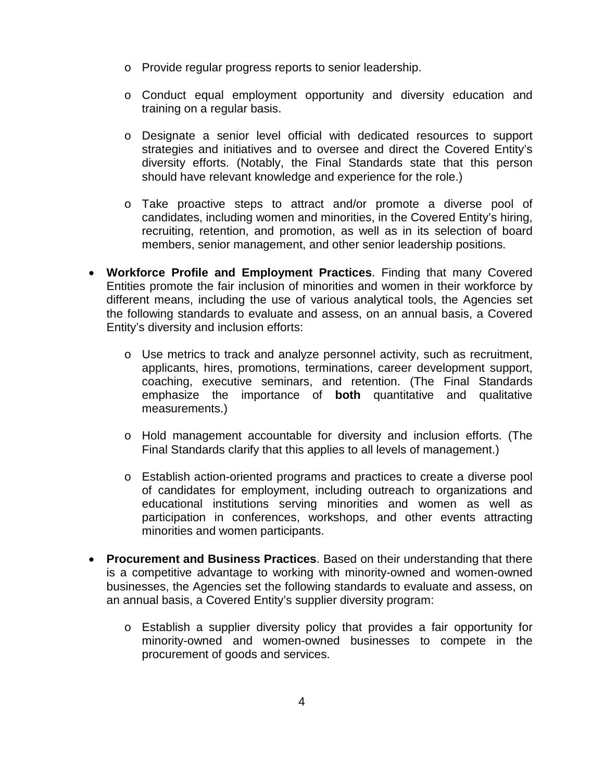- o Provide regular progress reports to senior leadership.
- o Conduct equal employment opportunity and diversity education and training on a regular basis.
- o Designate a senior level official with dedicated resources to support strategies and initiatives and to oversee and direct the Covered Entity's diversity efforts. (Notably, the Final Standards state that this person should have relevant knowledge and experience for the role.)
- o Take proactive steps to attract and/or promote a diverse pool of candidates, including women and minorities, in the Covered Entity's hiring, recruiting, retention, and promotion, as well as in its selection of board members, senior management, and other senior leadership positions.
- **Workforce Profile and Employment Practices**. Finding that many Covered Entities promote the fair inclusion of minorities and women in their workforce by different means, including the use of various analytical tools, the Agencies set the following standards to evaluate and assess, on an annual basis, a Covered Entity's diversity and inclusion efforts:
	- $\circ$  Use metrics to track and analyze personnel activity, such as recruitment, applicants, hires, promotions, terminations, career development support, coaching, executive seminars, and retention. (The Final Standards emphasize the importance of **both** quantitative and qualitative measurements.)
	- o Hold management accountable for diversity and inclusion efforts. (The Final Standards clarify that this applies to all levels of management.)
	- o Establish action-oriented programs and practices to create a diverse pool of candidates for employment, including outreach to organizations and educational institutions serving minorities and women as well as participation in conferences, workshops, and other events attracting minorities and women participants.
- **Procurement and Business Practices**. Based on their understanding that there is a competitive advantage to working with minority-owned and women-owned businesses, the Agencies set the following standards to evaluate and assess, on an annual basis, a Covered Entity's supplier diversity program:
	- o Establish a supplier diversity policy that provides a fair opportunity for minority-owned and women-owned businesses to compete in the procurement of goods and services.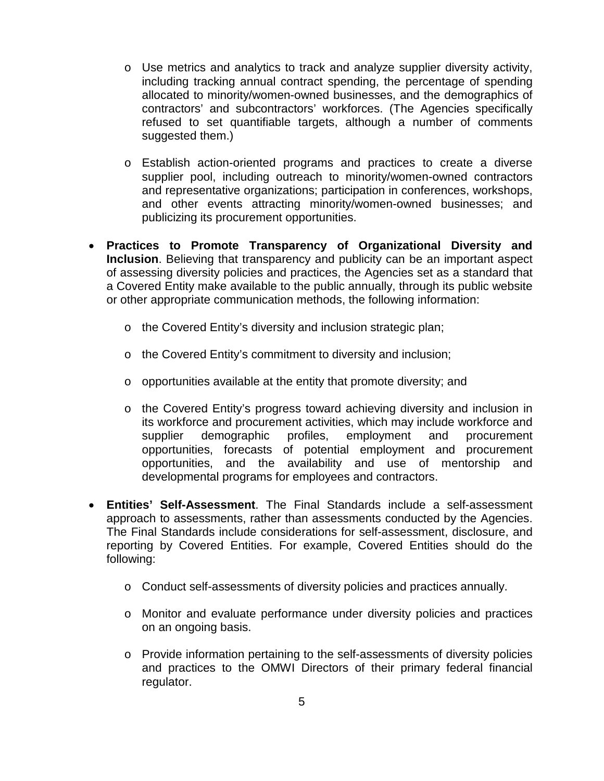- $\circ$  Use metrics and analytics to track and analyze supplier diversity activity, including tracking annual contract spending, the percentage of spending allocated to minority/women-owned businesses, and the demographics of contractors' and subcontractors' workforces. (The Agencies specifically refused to set quantifiable targets, although a number of comments suggested them.)
- o Establish action-oriented programs and practices to create a diverse supplier pool, including outreach to minority/women-owned contractors and representative organizations; participation in conferences, workshops, and other events attracting minority/women-owned businesses; and publicizing its procurement opportunities.
- **Practices to Promote Transparency of Organizational Diversity and Inclusion**. Believing that transparency and publicity can be an important aspect of assessing diversity policies and practices, the Agencies set as a standard that a Covered Entity make available to the public annually, through its public website or other appropriate communication methods, the following information:
	- o the Covered Entity's diversity and inclusion strategic plan;
	- o the Covered Entity's commitment to diversity and inclusion;
	- o opportunities available at the entity that promote diversity; and
	- o the Covered Entity's progress toward achieving diversity and inclusion in its workforce and procurement activities, which may include workforce and supplier demographic profiles, employment and procurement opportunities, forecasts of potential employment and procurement opportunities, and the availability and use of mentorship and developmental programs for employees and contractors.
- **Entities' Self-Assessment**. The Final Standards include a self-assessment approach to assessments, rather than assessments conducted by the Agencies. The Final Standards include considerations for self-assessment, disclosure, and reporting by Covered Entities. For example, Covered Entities should do the following:
	- o Conduct self-assessments of diversity policies and practices annually.
	- o Monitor and evaluate performance under diversity policies and practices on an ongoing basis.
	- o Provide information pertaining to the self-assessments of diversity policies and practices to the OMWI Directors of their primary federal financial regulator.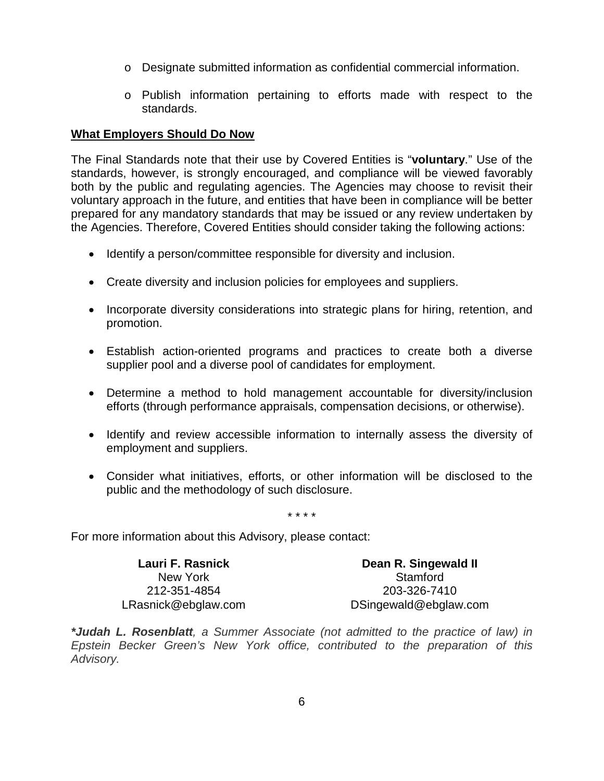- o Designate submitted information as confidential commercial information.
- o Publish information pertaining to efforts made with respect to the standards.

#### **What Employers Should Do Now**

The Final Standards note that their use by Covered Entities is "**voluntary**." Use of the standards, however, is strongly encouraged, and compliance will be viewed favorably both by the public and regulating agencies. The Agencies may choose to revisit their voluntary approach in the future, and entities that have been in compliance will be better prepared for any mandatory standards that may be issued or any review undertaken by the Agencies. Therefore, Covered Entities should consider taking the following actions:

- Identify a person/committee responsible for diversity and inclusion.
- Create diversity and inclusion policies for employees and suppliers.
- Incorporate diversity considerations into strategic plans for hiring, retention, and promotion.
- Establish action-oriented programs and practices to create both a diverse supplier pool and a diverse pool of candidates for employment.
- Determine a method to hold management accountable for diversity/inclusion efforts (through performance appraisals, compensation decisions, or otherwise).
- Identify and review accessible information to internally assess the diversity of employment and suppliers.
- Consider what initiatives, efforts, or other information will be disclosed to the public and the methodology of such disclosure.

\* \* \* \*

For more information about this Advisory, please contact:

**Lauri F. [Rasnick](http://www.ebglaw.com/lauri-f-rasnick/)** New York 212-351-4854 [LRasnick@ebglaw.com](mailto:LRasnick@ebglaw.com)

**Dean R. [Singewald](http://www.ebglaw.com/dean-r-singewald-ii/) II Stamford** 203-326-7410 [DSingewald@ebglaw.com](mailto:DSingewald@ebglaw.com)

*\*Judah L. Rosenblatt, a Summer Associate (not admitted to the practice of law) in Epstein Becker Green's New York office, contributed to the preparation of this Advisory.*